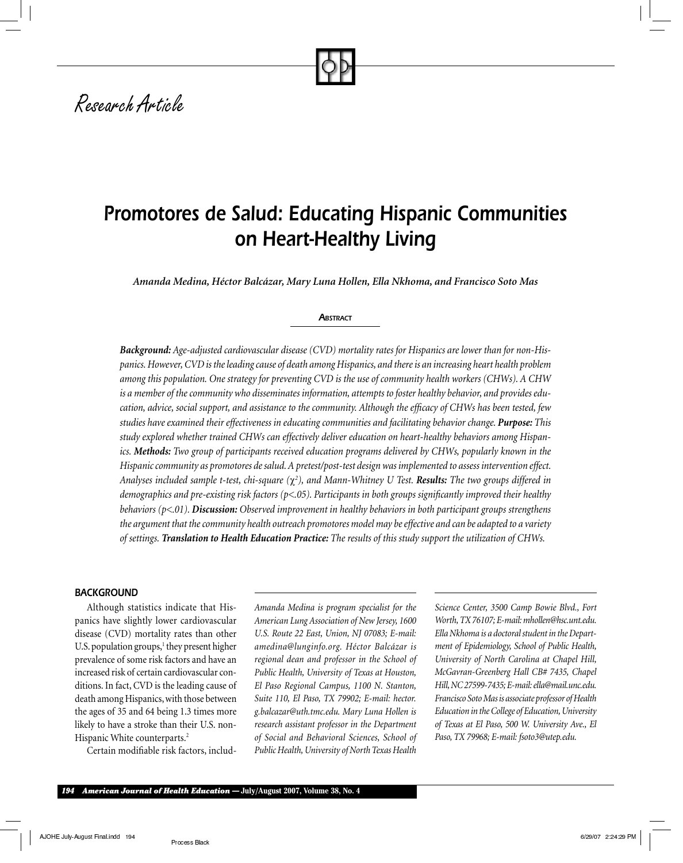# *Research Article*

## *Promotores de Salud: Educating Hispanic Communities on Heart-Healthy Living*

*Amanda Medina, Héctor Balcázar, Mary Luna Hollen, Ella Nkhoma, and Francisco Soto Mas*

#### **ABSTRACT**

*Background: Age-adjusted cardiovascular disease (CVD) mortality rates for Hispanics are lower than for non-Hispanics. However, CVD is the leading cause of death among Hispanics, and there is an increasing heart health problem among this population. One strategy for preventing CVD is the use of community health workers (CHWs). A CHW is a member of the community who disseminates information, attempts to foster healthy behavior, and provides education, advice, social support, and assistance to the community. Although the efficacy of CHWs has been tested, few studies have examined their effectiveness in educating communities and facilitating behavior change. Purpose: This study explored whether trained CHWs can effectively deliver education on heart-healthy behaviors among Hispanics. Methods: Two group of participants received education programs delivered by CHWs, popularly known in the Hispanic community as promotores de salud. A pretest/post-test design was implemented to assess intervention effect. Analyses included sample t-test, chi-square (*χ*<sup>2</sup> ), and Mann-Whitney U Test. Results: The two groups differed in demographics and pre-existing risk factors (p<.05). Participants in both groups significantly improved their healthy behaviors (p<.01). Discussion: Observed improvement in healthy behaviors in both participant groups strengthens the argument that the community health outreach promotores model may be effective and can be adapted to a variety of settings. Translation to Health Education Practice: The results of this study support the utilization of CHWs.*

#### *BACKGROUND*

Although statistics indicate that Hispanics have slightly lower cardiovascular disease (CVD) mortality rates than other U.S. population groups, $<sup>1</sup>$  they present higher</sup> prevalence of some risk factors and have an increased risk of certain cardiovascular conditions. In fact, CVD is the leading cause of death among Hispanics, with those between the ages of 35 and 64 being 1.3 times more likely to have a stroke than their U.S. non-Hispanic White counterparts.<sup>2</sup>

Certain modifiable risk factors, includ-

*Amanda Medina is program specialist for the American Lung Association of New Jersey, 1600 U.S. Route 22 East, Union, NJ 07083; E-mail: amedina@lunginfo.org. Héctor Balcázar is regional dean and professor in the School of Public Health, University of Texas at Houston, El Paso Regional Campus, 1100 N. Stanton, Suite 110, El Paso, TX 79902; E-mail: hector. g.balcazar@uth.tmc.edu. Mary Luna Hollen is research assistant professor in the Department of Social and Behavioral Sciences, School of Public Health, University of North Texas Health* 

*Science Center, 3500 Camp Bowie Blvd., Fort Worth, TX 76107; E-mail: mhollen@hsc.unt.edu. Ella Nkhoma is a doctoral student in the Department of Epidemiology, School of Public Health, University of North Carolina at Chapel Hill, McGavran-Greenberg Hall CB# 7435, Chapel Hill, NC 27599-7435; E-mail: ella@mail.unc.edu. Francisco Soto Mas is associate professor of Health Education in the College of Education, University of Texas at El Paso, 500 W. University Ave., El Paso, TX 79968; E-mail: fsoto3@utep.edu.*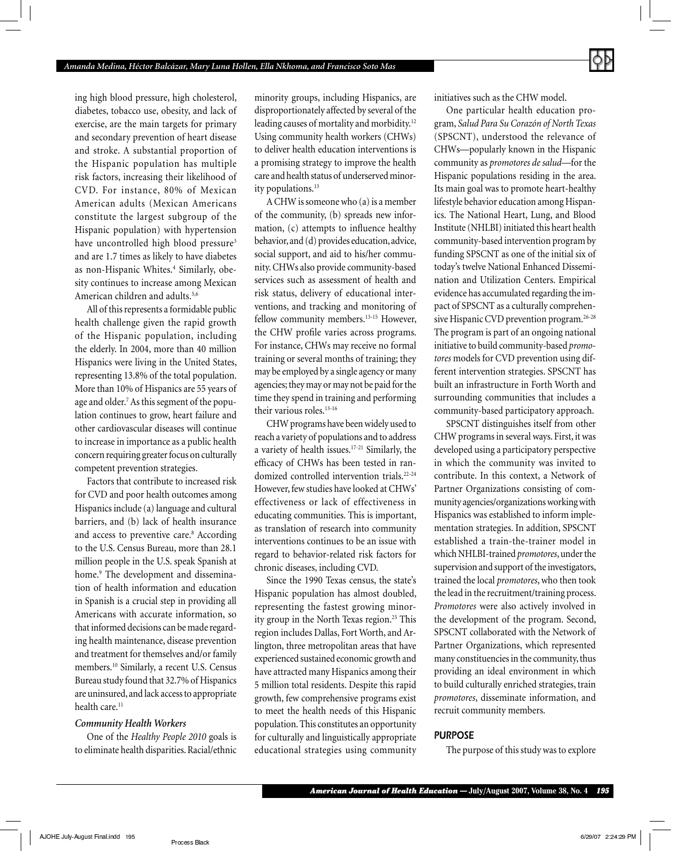ing high blood pressure, high cholesterol, diabetes, tobacco use, obesity, and lack of exercise, are the main targets for primary and secondary prevention of heart disease and stroke. A substantial proportion of the Hispanic population has multiple risk factors, increasing their likelihood of CVD. For instance, 80% of Mexican American adults (Mexican Americans constitute the largest subgroup of the Hispanic population) with hypertension have uncontrolled high blood pressure<sup>3</sup> and are 1.7 times as likely to have diabetes as non-Hispanic Whites.<sup>4</sup> Similarly, obesity continues to increase among Mexican American children and adults.<sup>5,6</sup>

All of this represents a formidable public health challenge given the rapid growth of the Hispanic population, including the elderly. In 2004, more than 40 million Hispanics were living in the United States, representing 13.8% of the total population. More than 10% of Hispanics are 55 years of age and older.7 As this segment of the population continues to grow, heart failure and other cardiovascular diseases will continue to increase in importance as a public health concern requiring greater focus on culturally competent prevention strategies.

Factors that contribute to increased risk for CVD and poor health outcomes among Hispanics include (a) language and cultural barriers, and (b) lack of health insurance and access to preventive care.<sup>8</sup> According to the U.S. Census Bureau, more than 28.1 million people in the U.S. speak Spanish at home.9 The development and dissemination of health information and education in Spanish is a crucial step in providing all Americans with accurate information, so that informed decisions can be made regarding health maintenance, disease prevention and treatment for themselves and/or family members.10 Similarly, a recent U.S. Census Bureau study found that 32.7% of Hispanics are uninsured, and lack access to appropriate health care.<sup>11</sup>

#### *Community Health Workers*

One of the *Healthy People 2010* goals is to eliminate health disparities. Racial/ethnic minority groups, including Hispanics, are disproportionately affected by several of the leading causes of mortality and morbidity.<sup>12</sup> Using community health workers (CHWs) to deliver health education interventions is a promising strategy to improve the health care and health status of underserved minority populations.<sup>13</sup>

A CHW is someone who (a) is a member of the community, (b) spreads new information,  $(c)$  attempts to influence healthy behavior, and (d) provides education, advice, social support, and aid to his/her community. CHWs also provide community-based services such as assessment of health and risk status, delivery of educational interventions, and tracking and monitoring of fellow community members.<sup>13-15</sup> However, the CHW profile varies across programs. For instance, CHWs may receive no formal training or several months of training; they may be employed by a single agency or many agencies; they may or may not be paid for the time they spend in training and performing their various roles.<sup>13-16</sup>

CHW programs have been widely used to reach a variety of populations and to address a variety of health issues.17-21 Similarly, the efficacy of CHWs has been tested in randomized controlled intervention trials.<sup>22-24</sup> However, few studies have looked at CHWs' effectiveness or lack of effectiveness in educating communities. This is important, as translation of research into community interventions continues to be an issue with regard to behavior-related risk factors for chronic diseases, including CVD.

Since the 1990 Texas census, the state's Hispanic population has almost doubled, representing the fastest growing minority group in the North Texas region.<sup>25</sup> This region includes Dallas, Fort Worth, and Arlington, three metropolitan areas that have experienced sustained economic growth and have attracted many Hispanics among their 5 million total residents. Despite this rapid growth, few comprehensive programs exist to meet the health needs of this Hispanic population. This constitutes an opportunity for culturally and linguistically appropriate educational strategies using community

initiatives such as the CHW model.

One particular health education program, *Salud Para Su Corazón of North Texas* (SPSCNT), understood the relevance of CHWs—popularly known in the Hispanic community as *promotores de salud*—for the Hispanic populations residing in the area. Its main goal was to promote heart-healthy lifestyle behavior education among Hispanics. The National Heart, Lung, and Blood Institute (NHLBI) initiated this heart health community-based intervention program by funding SPSCNT as one of the initial six of today's twelve National Enhanced Dissemination and Utilization Centers. Empirical evidence has accumulated regarding the impact of SPSCNT as a culturally comprehensive Hispanic CVD prevention program.<sup>26-28</sup> The program is part of an ongoing national initiative to build community-based *promotores* models for CVD prevention using different intervention strategies. SPSCNT has built an infrastructure in Forth Worth and surrounding communities that includes a community-based participatory approach.

SPSCNT distinguishes itself from other CHW programs in several ways. First, it was developed using a participatory perspective in which the community was invited to contribute. In this context, a Network of Partner Organizations consisting of community agencies/organizations working with Hispanics was established to inform implementation strategies. In addition, SPSCNT established a train-the-trainer model in which NHLBI-trained *promotores*, under the supervision and support of the investigators, trained the local *promotores*, who then took the lead in the recruitment/training process. *Promotores* were also actively involved in the development of the program. Second, SPSCNT collaborated with the Network of Partner Organizations, which represented many constituencies in the community, thus providing an ideal environment in which to build culturally enriched strategies, train *promotores*, disseminate information, and recruit community members.

## *PURPOSE*

The purpose of this study was to explore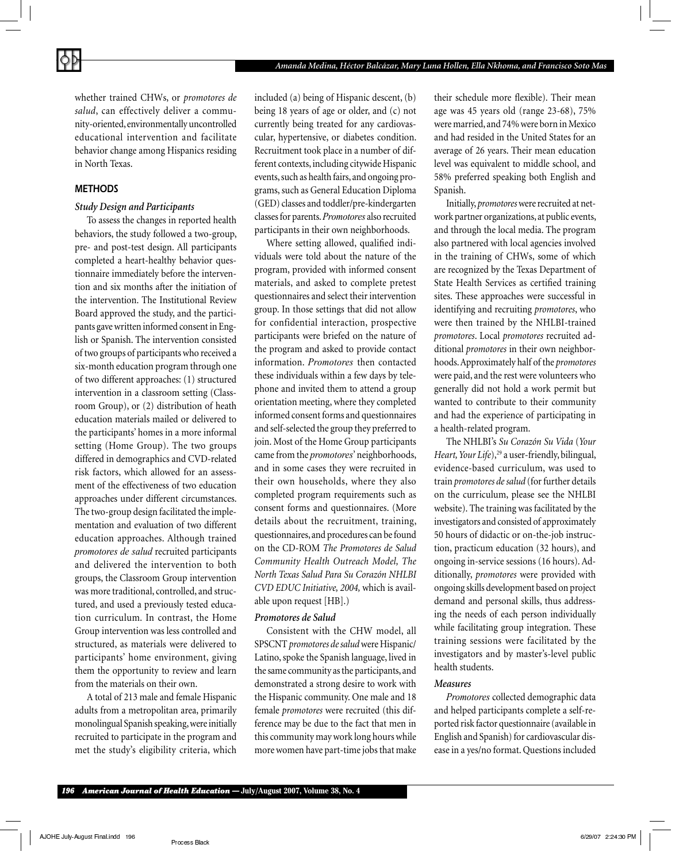whether trained CHWs, or *promotores de salud*, can effectively deliver a community-oriented, environmentally uncontrolled educational intervention and facilitate behavior change among Hispanics residing in North Texas.

## *METHODS*

#### *Study Design and Participants*

To assess the changes in reported health behaviors, the study followed a two-group, pre- and post-test design. All participants completed a heart-healthy behavior questionnaire immediately before the intervention and six months after the initiation of the intervention. The Institutional Review Board approved the study, and the participants gave written informed consent in English or Spanish. The intervention consisted of two groups of participants who received a six-month education program through one of two different approaches: (1) structured intervention in a classroom setting (Classroom Group), or (2) distribution of heath education materials mailed or delivered to the participants' homes in a more informal setting (Home Group). The two groups differed in demographics and CVD-related risk factors, which allowed for an assessment of the effectiveness of two education approaches under different circumstances. The two-group design facilitated the implementation and evaluation of two different education approaches. Although trained *promotores de salud* recruited participants and delivered the intervention to both groups, the Classroom Group intervention was more traditional, controlled, and structured, and used a previously tested education curriculum. In contrast, the Home Group intervention was less controlled and structured, as materials were delivered to participants' home environment, giving them the opportunity to review and learn from the materials on their own.

A total of 213 male and female Hispanic adults from a metropolitan area, primarily monolingual Spanish speaking, were initially recruited to participate in the program and met the study's eligibility criteria, which included (a) being of Hispanic descent, (b) being 18 years of age or older, and (c) not currently being treated for any cardiovascular, hypertensive, or diabetes condition. Recruitment took place in a number of different contexts, including citywide Hispanic events, such as health fairs, and ongoing programs, such as General Education Diploma (GED) classes and toddler/pre-kindergarten classes for parents. *Promotores* also recruited participants in their own neighborhoods.

Where setting allowed, qualified individuals were told about the nature of the program, provided with informed consent materials, and asked to complete pretest questionnaires and select their intervention group. In those settings that did not allow for confidential interaction, prospective participants were briefed on the nature of the program and asked to provide contact information. *Promotores* then contacted these individuals within a few days by telephone and invited them to attend a group orientation meeting, where they completed informed consent forms and questionnaires and self-selected the group they preferred to join. Most of the Home Group participants came from the *promotores*' neighborhoods, and in some cases they were recruited in their own households, where they also completed program requirements such as consent forms and questionnaires. (More details about the recruitment, training, questionnaires, and procedures can be found on the CD-ROM *The Promotores de Salud Community Health Outreach Model, The North Texas Salud Para Su Corazón NHLBI CVD EDUC Initiative, 2004,* which is available upon request [HB].)

#### *Promotores de Salud*

Consistent with the CHW model, all SPSCNT *promotores de salud* were Hispanic/ Latino, spoke the Spanish language, lived in the same community as the participants, and demonstrated a strong desire to work with the Hispanic community. One male and 18 female *promotores* were recruited (this difference may be due to the fact that men in this community may work long hours while more women have part-time jobs that make

their schedule more flexible). Their mean age was 45 years old (range 23-68), 75% were married, and 74% were born in Mexico and had resided in the United States for an average of 26 years. Their mean education level was equivalent to middle school, and 58% preferred speaking both English and Spanish.

Initially, *promotores* were recruited at network partner organizations, at public events, and through the local media. The program also partnered with local agencies involved in the training of CHWs, some of which are recognized by the Texas Department of State Health Services as certified training sites. These approaches were successful in identifying and recruiting *promotores*, who were then trained by the NHLBI-trained *promotores*. Local *promotores* recruited additional *promotores* in their own neighborhoods. Approximately half of the *promotores* were paid, and the rest were volunteers who generally did not hold a work permit but wanted to contribute to their community and had the experience of participating in a health-related program.

The NHLBI's *Su Corazón Su Vida* (*Your Heart, Your Life*),<sup>29</sup> a user-friendly, bilingual, evidence-based curriculum, was used to train *promotores de salud* (for further details on the curriculum, please see the NHLBI website). The training was facilitated by the investigators and consisted of approximately 50 hours of didactic or on-the-job instruction, practicum education (32 hours), and ongoing in-service sessions (16 hours). Additionally, *promotores* were provided with ongoing skills development based on project demand and personal skills, thus addressing the needs of each person individually while facilitating group integration. These training sessions were facilitated by the investigators and by master's-level public health students.

#### *Measures*

*Promotores* collected demographic data and helped participants complete a self-reported risk factor questionnaire (available in English and Spanish) for cardiovascular disease in a yes/no format. Questions included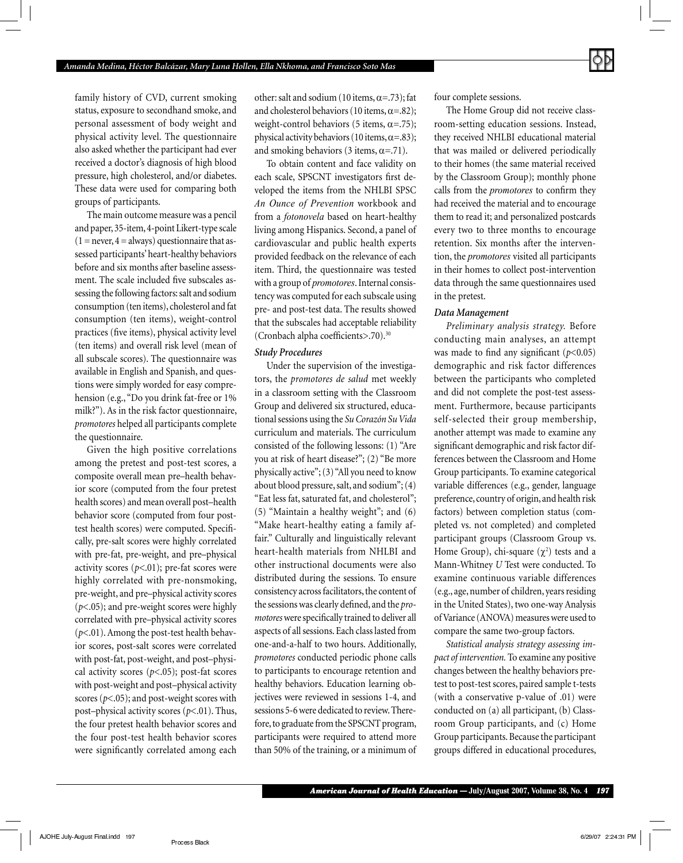family history of CVD, current smoking status, exposure to secondhand smoke, and personal assessment of body weight and physical activity level. The questionnaire also asked whether the participant had ever received a doctor's diagnosis of high blood pressure, high cholesterol, and/or diabetes. These data were used for comparing both groups of participants.

The main outcome measure was a pencil and paper, 35-item, 4-point Likert-type scale  $(1 = never, 4 = always)$  questionnaire that assessed participants' heart-healthy behaviors before and six months after baseline assessment. The scale included five subscales assessing the following factors: salt and sodium consumption (ten items), cholesterol and fat consumption (ten items), weight-control practices (five items), physical activity level (ten items) and overall risk level (mean of all subscale scores). The questionnaire was available in English and Spanish, and questions were simply worded for easy comprehension (e.g., "Do you drink fat-free or 1% milk?"). As in the risk factor questionnaire, *promotores* helped all participants complete the questionnaire.

Given the high positive correlations among the pretest and post-test scores, a composite overall mean pre–health behavior score (computed from the four pretest health scores) and mean overall post–health behavior score (computed from four posttest health scores) were computed. Specifi cally, pre-salt scores were highly correlated with pre-fat, pre-weight, and pre–physical activity scores (*p<*.01); pre-fat scores were highly correlated with pre-nonsmoking, pre-weight, and pre–physical activity scores (*p*<.05); and pre-weight scores were highly correlated with pre–physical activity scores (*p*<.01). Among the post-test health behavior scores, post-salt scores were correlated with post-fat, post-weight, and post–physical activity scores (*p*<.05); post-fat scores with post-weight and post–physical activity scores (*p*<.05); and post-weight scores with post–physical activity scores (*p*<.01). Thus, the four pretest health behavior scores and the four post-test health behavior scores were significantly correlated among each other: salt and sodium (10 items,  $\alpha$ =.73); fat and cholesterol behaviors (10 items,  $\alpha = .82$ ); weight-control behaviors (5 items,  $\alpha = .75$ ); physical activity behaviors (10 items,  $\alpha = .83$ ); and smoking behaviors (3 items,  $\alpha = .71$ ).

To obtain content and face validity on each scale, SPSCNT investigators first developed the items from the NHLBI SPSC *An Ounce of Prevention* workbook and from a *fotonovela* based on heart-healthy living among Hispanics. Second, a panel of cardiovascular and public health experts provided feedback on the relevance of each item. Third, the questionnaire was tested with a group of *promotores*. Internal consistency was computed for each subscale using pre- and post-test data. The results showed that the subscales had acceptable reliability (Cronbach alpha coefficients>.70).<sup>30</sup>

#### *Study Procedures*

Under the supervision of the investigators, the *promotores de salud* met weekly in a classroom setting with the Classroom Group and delivered six structured, educational sessions using the *Su Corazón Su Vida* curriculum and materials. The curriculum consisted of the following lessons: (1) "Are you at risk of heart disease?"; (2) "Be more physically active"; (3) "All you need to know about blood pressure, salt, and sodium"; (4) "Eat less fat, saturated fat, and cholesterol"; (5) "Maintain a healthy weight"; and (6) "Make heart-healthy eating a family affair." Culturally and linguistically relevant heart-health materials from NHLBI and other instructional documents were also distributed during the sessions. To ensure consistency across facilitators, the content of the sessions was clearly defined, and the *promotores* were specifically trained to deliver all aspects of all sessions. Each class lasted from one-and-a-half to two hours. Additionally, *promotores* conducted periodic phone calls to participants to encourage retention and healthy behaviors. Education learning objectives were reviewed in sessions 1-4, and sessions 5-6 were dedicated to review. Therefore, to graduate from the SPSCNT program, participants were required to attend more than 50% of the training, or a minimum of

four complete sessions.

The Home Group did not receive classroom-setting education sessions. Instead, they received NHLBI educational material that was mailed or delivered periodically to their homes (the same material received by the Classroom Group); monthly phone calls from the *promotores* to confirm they had received the material and to encourage them to read it; and personalized postcards every two to three months to encourage retention. Six months after the intervention, the *promotores* visited all participants in their homes to collect post-intervention data through the same questionnaires used in the pretest.

#### *Data Management*

*Preliminary analysis strategy.* Before conducting main analyses, an attempt was made to find any significant  $(p<0.05)$ demographic and risk factor differences between the participants who completed and did not complete the post-test assessment. Furthermore, because participants self-selected their group membership, another attempt was made to examine any significant demographic and risk factor differences between the Classroom and Home Group participants. To examine categorical variable differences (e.g., gender, language preference, country of origin, and health risk factors) between completion status (completed vs. not completed) and completed participant groups (Classroom Group vs. Home Group), chi-square  $(\chi^2)$  tests and a Mann-Whitney *U* Test were conducted. To examine continuous variable differences (e.g., age, number of children, years residing in the United States), two one-way Analysis of Variance (ANOVA) measures were used to compare the same two-group factors.

*Statistical analysis strategy assessing impact of intervention.* To examine any positive changes between the healthy behaviors pretest to post-test scores, paired sample t-tests (with a conservative p-value of .01) were conducted on (a) all participant, (b) Classroom Group participants, and (c) Home Group participants. Because the participant groups differed in educational procedures,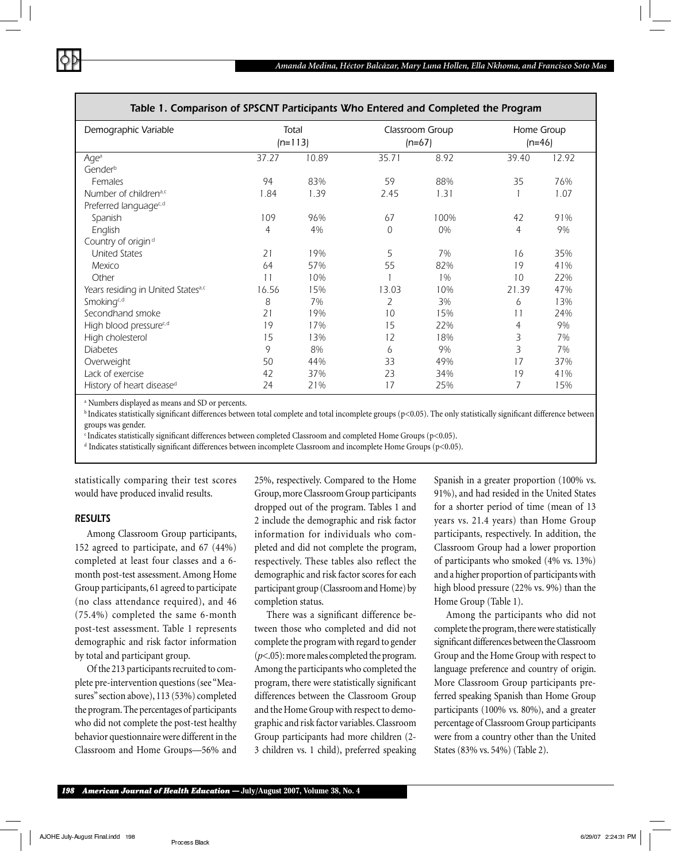| Demographic Variable               | Total |           | Classroom Group |      | Home Group |       |
|------------------------------------|-------|-----------|-----------------|------|------------|-------|
|                                    |       | $(n=113)$ | $(n=67)$        |      | $(n=46)$   |       |
| Age <sup>a</sup>                   | 37.27 | 10.89     | 35.71           | 8.92 | 39.40      | 12.92 |
| Gender <sup>b</sup>                |       |           |                 |      |            |       |
| Females                            | 94    | 83%       | 59              | 88%  | 35         | 76%   |
| Number of childrena,c              | 1.84  | 1.39      | 2.45            | 1.31 |            | 1.07  |
| Preferred languagec,d              |       |           |                 |      |            |       |
| Spanish                            | 109   | 96%       | 67              | 100% | 42         | 91%   |
| English                            | 4     | 4%        | $\overline{0}$  | 0%   | 4          | 9%    |
| Country of origin <sup>d</sup>     |       |           |                 |      |            |       |
| <b>United States</b>               | 21    | 19%       | 5               | 7%   | 16         | 35%   |
| Mexico                             | 64    | 57%       | 55              | 82%  | 19         | 41%   |
| Other                              | 11    | 10%       |                 | 1%   | 10         | 22%   |
| Years residing in United Statesa,c | 16.56 | 15%       | 13.03           | 10%  | 21.39      | 47%   |
| Smokingc,d                         | 8     | 7%        | 2               | 3%   | 6          | 13%   |
| Secondhand smoke                   | 21    | 19%       | 10              | 15%  | 11         | 24%   |
| High blood pressurec,d             | 19    | 17%       | 15              | 22%  | 4          | 9%    |
| High cholesterol                   | 15    | 13%       | 12              | 18%  | 3          | 7%    |
| <b>Diabetes</b>                    | 9     | 8%        | 6               | 9%   | 3          | 7%    |
| Overweight                         | 50    | 44%       | 33              | 49%  | 17         | 37%   |
| Lack of exercise                   | 42    | 37%       | 23              | 34%  | 19         | 41%   |
| History of heart diseased          | 24    | 21%       | 17              | 25%  | 7          | 15%   |

#### *Table 1. Comparison of SPSCNT Participants Who Entered and Completed the Program*

a Numbers displayed as means and SD or percents.

<sup>b</sup> Indicates statistically significant differences between total complete and total incomplete groups (p<0.05). The only statistically significant difference between groups was gender.

 $c$  Indicates statistically significant differences between completed Classroom and completed Home Groups (p<0.05).

 $d$  Indicates statistically significant differences between incomplete Classroom and incomplete Home Groups (p<0.05).

statistically comparing their test scores would have produced invalid results.

## *RESULTS*

Among Classroom Group participants, 152 agreed to participate, and 67 (44%) completed at least four classes and a 6 month post-test assessment. Among Home Group participants, 61 agreed to participate (no class attendance required), and 46 (75.4%) completed the same 6-month post-test assessment. Table 1 represents demographic and risk factor information by total and participant group.

Of the 213 participants recruited to complete pre-intervention questions (see "Measures" section above), 113 (53%) completed the program. The percentages of participants who did not complete the post-test healthy behavior questionnaire were different in the Classroom and Home Groups—56% and

25%, respectively. Compared to the Home Group, more Classroom Group participants dropped out of the program. Tables 1 and 2 include the demographic and risk factor information for individuals who completed and did not complete the program, respectively. These tables also reflect the demographic and risk factor scores for each participant group (Classroom and Home) by completion status.

There was a significant difference between those who completed and did not complete the program with regard to gender (*p*<.05): more males completed the program. Among the participants who completed the program, there were statistically significant differences between the Classroom Group and the Home Group with respect to demographic and risk factor variables. Classroom Group participants had more children (2- 3 children vs. 1 child), preferred speaking

Spanish in a greater proportion (100% vs. 91%), and had resided in the United States for a shorter period of time (mean of 13 years vs. 21.4 years) than Home Group participants, respectively. In addition, the Classroom Group had a lower proportion of participants who smoked (4% vs. 13%) and a higher proportion of participants with high blood pressure (22% vs. 9%) than the Home Group (Table 1).

Among the participants who did not complete the program, there were statistically significant differences between the Classroom Group and the Home Group with respect to language preference and country of origin. More Classroom Group participants preferred speaking Spanish than Home Group participants (100% vs. 80%), and a greater percentage of Classroom Group participants were from a country other than the United States (83% vs. 54%) (Table 2).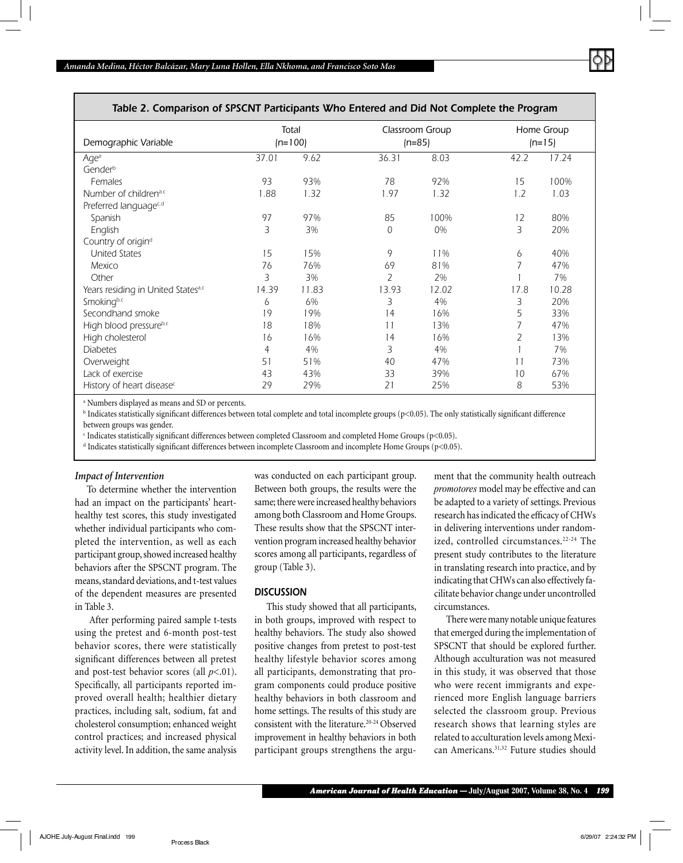

## *Table 2. Comparison of SPSCNT Participants Who Entered and Did Not Complete the Program*

| Demographic Variable                  | Total<br>$(n=100)$ |       | Classroom Group<br>$(n=85)$ |       | Home Group<br>$(n=15)$ |       |
|---------------------------------------|--------------------|-------|-----------------------------|-------|------------------------|-------|
| Age <sup>a</sup>                      | 37.01              | 9.62  | 36.31                       | 8.03  | 42.2                   | 17.24 |
| Gender <sup>b</sup>                   |                    |       |                             |       |                        |       |
| Females                               | 93                 | 93%   | 78                          | 92%   | 15                     | 100%  |
| Number of childrena,c                 | 1.88               | 1.32  | 1.97                        | 1.32  | 1.2                    | 1.03  |
| Preferred languagec,d                 |                    |       |                             |       |                        |       |
| Spanish                               | 97                 | 97%   | 85                          | 100%  | 12                     | 80%   |
| English                               | 3                  | 3%    | $\overline{0}$              | 0%    | 3                      | 20%   |
| Country of origin <sup>d</sup>        |                    |       |                             |       |                        |       |
| <b>United States</b>                  | 15                 | 15%   | 9                           | 11%   | 6                      | 40%   |
| Mexico                                | 76                 | 76%   | 69                          | 81%   | 7                      | 47%   |
| Other                                 | 3                  | 3%    | 2                           | 2%    |                        | 7%    |
| Years residing in United Statesa,c    | 14.39              | 11.83 | 13.93                       | 12.02 | 17.8                   | 10.28 |
| Smokingb,c                            | 6                  | 6%    | 3                           | 4%    | 3                      | 20%   |
| Secondhand smoke                      | 19                 | 19%   | 14                          | 16%   | 5                      | 33%   |
| High blood pressureb,c                | 18                 | 18%   | 11                          | 13%   | 7                      | 47%   |
| High cholesterol                      | 16                 | 16%   | 14                          | 16%   | $\overline{2}$         | 13%   |
| <b>Diabetes</b>                       | 4                  | 4%    | 3                           | 4%    |                        | 7%    |
| Overweight                            | 51                 | 51%   | 40                          | 47%   | 11                     | 73%   |
| Lack of exercise                      | 43                 | 43%   | 33                          | 39%   | 10                     | 67%   |
| History of heart disease <sup>c</sup> | 29                 | 29%   | 21                          | 25%   | 8                      | 53%   |

a Numbers displayed as means and SD or percents.

 $^{\rm b}$  Indicates statistically significant differences between total complete and total incomplete groups (p<0.05). The only statistically significant difference between groups was gender.

c Indicates statistically signifi cant differences between completed Classroom and completed Home Groups (p<0.05).

 $^{\rm d}$  Indicates statistically significant differences between incomplete Classroom and incomplete Home Groups (p<0.05).

#### *Impact of Intervention*

To determine whether the intervention had an impact on the participants' hearthealthy test scores, this study investigated whether individual participants who completed the intervention, as well as each participant group, showed increased healthy behaviors after the SPSCNT program. The means, standard deviations, and t-test values of the dependent measures are presented in Table 3.

 After performing paired sample t-tests using the pretest and 6-month post-test behavior scores, there were statistically significant differences between all pretest and post-test behavior scores (all *p*<.01). Specifically, all participants reported improved overall health; healthier dietary practices, including salt, sodium, fat and cholesterol consumption; enhanced weight control practices; and increased physical activity level. In addition, the same analysis was conducted on each participant group. Between both groups, the results were the same; there were increased healthy behaviors among both Classroom and Home Groups. These results show that the SPSCNT intervention program increased healthy behavior scores among all participants, regardless of group (Table 3).

#### *DISCUSSION*

This study showed that all participants, in both groups, improved with respect to healthy behaviors. The study also showed positive changes from pretest to post-test healthy lifestyle behavior scores among all participants, demonstrating that program components could produce positive healthy behaviors in both classroom and home settings. The results of this study are consistent with the literature.20-24 Observed improvement in healthy behaviors in both participant groups strengthens the argu-

ment that the community health outreach *promotores* model may be effective and can be adapted to a variety of settings. Previous research has indicated the efficacy of CHWs in delivering interventions under randomized, controlled circumstances.<sup>22-24</sup> The present study contributes to the literature in translating research into practice, and by indicating that CHWs can also effectively facilitate behavior change under uncontrolled circumstances.

There were many notable unique features that emerged during the implementation of SPSCNT that should be explored further. Although acculturation was not measured in this study, it was observed that those who were recent immigrants and experienced more English language barriers selected the classroom group. Previous research shows that learning styles are related to acculturation levels among Mexican Americans.31,32 Future studies should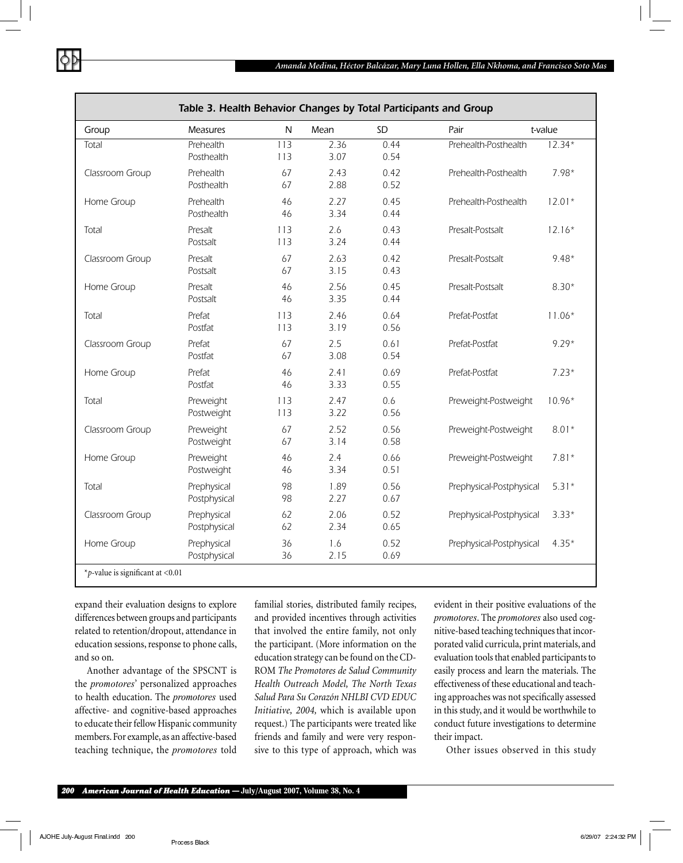

| Table 3. Health Behavior Changes by Total Participants and Group |                             |              |              |              |                          |          |  |
|------------------------------------------------------------------|-----------------------------|--------------|--------------|--------------|--------------------------|----------|--|
| Group                                                            | <b>Measures</b>             | $\mathsf{N}$ | Mean         | SD           | Pair                     | t-value  |  |
| Total                                                            | Prehealth<br>Posthealth     | 113<br>113   | 2.36<br>3.07 | 0.44<br>0.54 | Prehealth-Posthealth     | $12.34*$ |  |
| Classroom Group                                                  | Prehealth<br>Posthealth     | 67<br>67     | 2.43<br>2.88 | 0.42<br>0.52 | Prehealth-Posthealth     | $7.98*$  |  |
| Home Group                                                       | Prehealth<br>Posthealth     | 46<br>46     | 2.27<br>3.34 | 0.45<br>0.44 | Prehealth-Posthealth     | $12.01*$ |  |
| Total                                                            | Presalt<br>Postsalt         | 113<br>113   | 2.6<br>3.24  | 0.43<br>0.44 | Presalt-Postsalt         | $12.16*$ |  |
| Classroom Group                                                  | Presalt<br>Postsalt         | 67<br>67     | 2.63<br>3.15 | 0.42<br>0.43 | Presalt-Postsalt         | $9.48*$  |  |
| Home Group                                                       | Presalt<br>Postsalt         | 46<br>46     | 2.56<br>3.35 | 0.45<br>0.44 | Presalt-Postsalt         | $8.30*$  |  |
| Total                                                            | Prefat<br>Postfat           | 113<br>113   | 2.46<br>3.19 | 0.64<br>0.56 | Prefat-Postfat           | $11.06*$ |  |
| Classroom Group                                                  | Prefat<br>Postfat           | 67<br>67     | 2.5<br>3.08  | 0.61<br>0.54 | Prefat-Postfat           | $9.29*$  |  |
| Home Group                                                       | Prefat<br>Postfat           | 46<br>46     | 2.41<br>3.33 | 0.69<br>0.55 | Prefat-Postfat           | $7.23*$  |  |
| Total                                                            | Preweight<br>Postweight     | 113<br>113   | 2.47<br>3.22 | 0.6<br>0.56  | Preweight-Postweight     | $10.96*$ |  |
| Classroom Group                                                  | Preweight<br>Postweight     | 67<br>67     | 2.52<br>3.14 | 0.56<br>0.58 | Preweight-Postweight     | $8.01*$  |  |
| Home Group                                                       | Preweight<br>Postweight     | 46<br>46     | 2.4<br>3.34  | 0.66<br>0.51 | Preweight-Postweight     | $7.81*$  |  |
| Total                                                            | Prephysical<br>Postphysical | 98<br>98     | 1.89<br>2.27 | 0.56<br>0.67 | Prephysical-Postphysical | $5.31*$  |  |
| Classroom Group                                                  | Prephysical<br>Postphysical | 62<br>62     | 2.06<br>2.34 | 0.52<br>0.65 | Prephysical-Postphysical | $3.33*$  |  |
| Home Group                                                       | Prephysical<br>Postphysical | 36<br>36     | 1.6<br>2.15  | 0.52<br>0.69 | Prephysical-Postphysical | $4.35*$  |  |
| *p-value is significant at $< 0.01$                              |                             |              |              |              |                          |          |  |

expand their evaluation designs to explore differences between groups and participants related to retention/dropout, attendance in education sessions, response to phone calls, and so on.

Another advantage of the SPSCNT is the *promotores*' personalized approaches to health education. The *promotores* used affective- and cognitive-based approaches to educate their fellow Hispanic community members. For example, as an affective-based teaching technique, the *promotores* told familial stories, distributed family recipes, and provided incentives through activities that involved the entire family, not only the participant. (More information on the education strategy can be found on the CD-ROM *The Promotores de Salud Community Health Outreach Model, The North Texas Salud Para Su Corazón NHLBI CVD EDUC Initiative, 2004,* which is available upon request.) The participants were treated like friends and family and were very responsive to this type of approach, which was

evident in their positive evaluations of the *promotores*. The *promotores* also used cognitive-based teaching techniques that incorporated valid curricula, print materials, and evaluation tools that enabled participants to easily process and learn the materials. The effectiveness of these educational and teaching approaches was not specifically assessed in this study, and it would be worthwhile to conduct future investigations to determine their impact.

Other issues observed in this study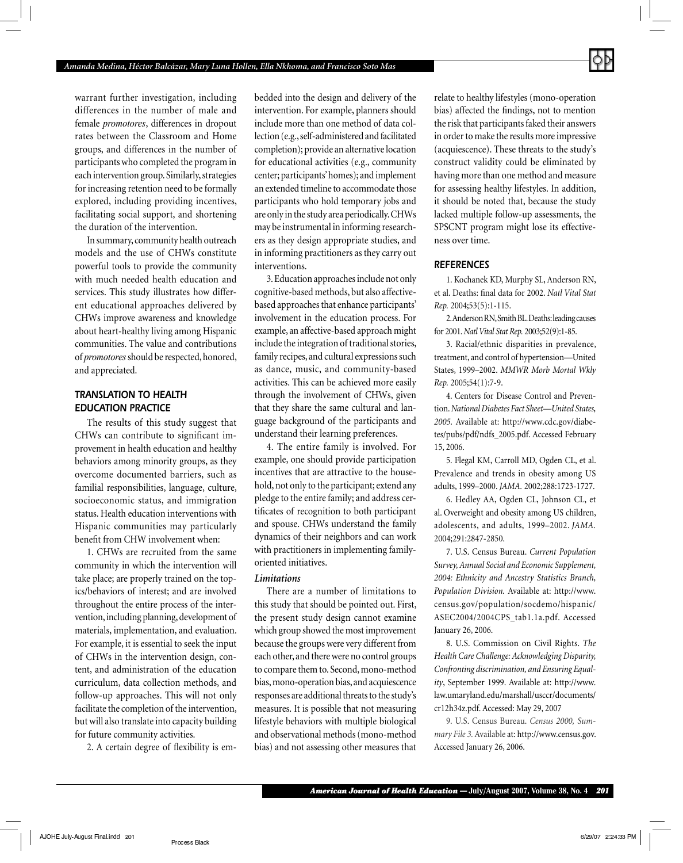

warrant further investigation, including differences in the number of male and female *promotores*, differences in dropout rates between the Classroom and Home groups, and differences in the number of participants who completed the program in each intervention group. Similarly, strategies for increasing retention need to be formally explored, including providing incentives, facilitating social support, and shortening the duration of the intervention.

In summary, community health outreach models and the use of CHWs constitute powerful tools to provide the community with much needed health education and services. This study illustrates how different educational approaches delivered by CHWs improve awareness and knowledge about heart-healthy living among Hispanic communities. The value and contributions of *promotores* should be respected, honored, and appreciated.

## *TRANSLATION TO HEALTH EDUCATION PRACTICE*

The results of this study suggest that CHWs can contribute to significant improvement in health education and healthy behaviors among minority groups, as they overcome documented barriers, such as familial responsibilities, language, culture, socioeconomic status, and immigration status. Health education interventions with Hispanic communities may particularly benefit from CHW involvement when:

1. CHWs are recruited from the same community in which the intervention will take place; are properly trained on the topics/behaviors of interest; and are involved throughout the entire process of the intervention, including planning, development of materials, implementation, and evaluation. For example, it is essential to seek the input of CHWs in the intervention design, content, and administration of the education curriculum, data collection methods, and follow-up approaches. This will not only facilitate the completion of the intervention, but will also translate into capacity building for future community activities.

2. A certain degree of flexibility is em-

bedded into the design and delivery of the intervention. For example, planners should include more than one method of data collection (e.g., self-administered and facilitated completion); provide an alternative location for educational activities (e.g., community center; participants' homes); and implement an extended timeline to accommodate those participants who hold temporary jobs and are only in the study area periodically. CHWs may be instrumental in informing researchers as they design appropriate studies, and in informing practitioners as they carry out interventions.

3. Education approaches include not only cognitive-based methods, but also affectivebased approaches that enhance participants' involvement in the education process. For example, an affective-based approach might include the integration of traditional stories, family recipes, and cultural expressions such as dance, music, and community-based activities. This can be achieved more easily through the involvement of CHWs, given that they share the same cultural and language background of the participants and understand their learning preferences.

4. The entire family is involved. For example, one should provide participation incentives that are attractive to the household, not only to the participant; extend any pledge to the entire family; and address certificates of recognition to both participant and spouse. CHWs understand the family dynamics of their neighbors and can work with practitioners in implementing familyoriented initiatives.

#### *Limitations*

There are a number of limitations to this study that should be pointed out. First, the present study design cannot examine which group showed the most improvement because the groups were very different from each other, and there were no control groups to compare them to. Second, mono-method bias, mono-operation bias, and acquiescence responses are additional threats to the study's measures. It is possible that not measuring lifestyle behaviors with multiple biological and observational methods (mono-method bias) and not assessing other measures that

relate to healthy lifestyles (mono-operation bias) affected the findings, not to mention the risk that participants faked their answers in order to make the results more impressive (acquiescence). These threats to the study's construct validity could be eliminated by having more than one method and measure for assessing healthy lifestyles. In addition, it should be noted that, because the study lacked multiple follow-up assessments, the SPSCNT program might lose its effectiveness over time.

#### *REFERENCES*

1. Kochanek KD, Murphy SL, Anderson RN, et al. Deaths: final data for 2002. *Natl Vital Stat Rep.* 2004;53(5):1-115.

2. Anderson RN, Smith BL. Deaths: leading causes for 2001. *Natl Vital Stat Rep.* 2003;52(9):1-85.

3. Racial/ethnic disparities in prevalence, treatment, and control of hypertension—United States, 1999–2002. *MMWR Morb Mortal Wkly Rep.* 2005;54(1):7-9.

4. Centers for Disease Control and Prevention. *National Diabetes Fact Sheet—United States, 2005.* Available at: http://www.cdc.gov/diabetes/pubs/pdf/ndfs\_2005.pdf. Accessed February 15, 2006.

5. Flegal KM, Carroll MD, Ogden CL, et al. Prevalence and trends in obesity among US adults, 1999–2000. *JAMA.* 2002;288:1723-1727.

6. Hedley AA, Ogden CL, Johnson CL, et al. Overweight and obesity among US children, adolescents, and adults, 1999–2002. *JAMA.* 2004;291:2847-2850.

7. U.S. Census Bureau. *Current Population Survey, Annual Social and Economic Supplement, 2004: Ethnicity and Ancestry Statistics Branch, Population Division.* Available at: http://www. census.gov/population/socdemo/hispanic/ ASEC2004/2004CPS\_tab1.1a.pdf. Accessed January 26, 2006.

8. U.S. Commission on Civil Rights. *The Health Care Challenge: Acknowledging Disparity, Confronting discrimination, and Ensuring Equality*, September 1999. Available at: http://www. law.umaryland.edu/marshall/usccr/documents/ cr12h34z.pdf. Accessed: May 29, 2007

9. U.S. Census Bureau. *Census 2000, Summary File 3.* Available at: http://www.census.gov. Accessed January 26, 2006.